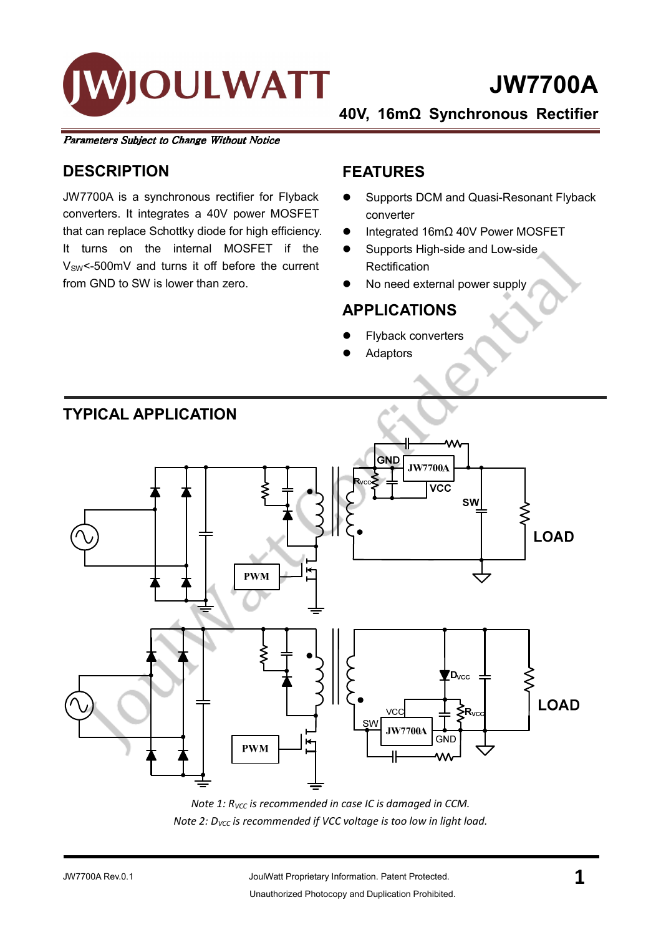

# JW7700A

40V, 16mΩ Synchronous Rectifier

Parameters Subject to Change Without Notice

### **DESCRIPTION**

JW7700A is a synchronous rectifier for Flyback converters. It integrates a 40V power MOSFET that can replace Schottky diode for high efficiency. It turns on the internal MOSFET if the V<sub>SW</sub><-500mV and turns it off before the current from GND to SW is lower than zero.

#### FEATURES

- **Supports DCM and Quasi-Resonant Flyback** converter
- $\bullet$  Integrated 16mΩ 40V Power MOSFET
- Supports High-side and Low-side **Rectification**
- No need external power supply

#### APPLICATIONS

- Flyback converters
- Adaptors



Note 1:  $R_{VCC}$  is recommended in case IC is damaged in CCM. Note 2: D<sub>VCC</sub> is recommended if VCC voltage is too low in light load.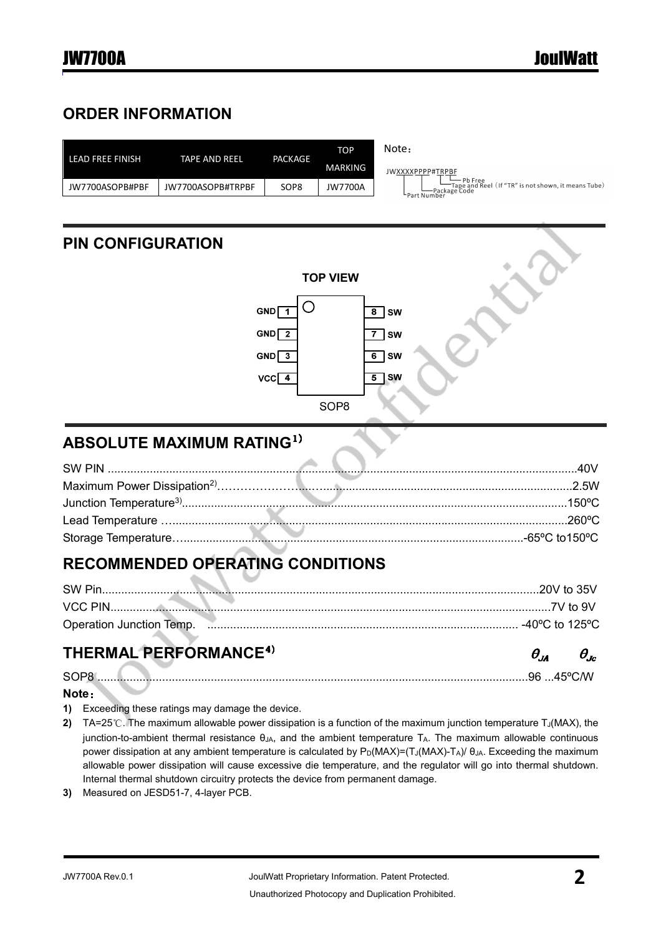## ORDER INFORMATION

| LEAD FREE FINISH | TAPE AND REEL     | PACKAGE          | <b>TOP</b> | Note:                                                                                                   |
|------------------|-------------------|------------------|------------|---------------------------------------------------------------------------------------------------------|
|                  |                   |                  | MARKING    | JWXXXXPPPP#TRPBF                                                                                        |
| JW7700ASOPB#PBF  | JW7700ASOPB#TRPBF | SOP <sub>8</sub> | JW7700A    | Pb Free<br>—Tape and Reel (If "TR" is not shown, it means Tube)<br>–Package Code<br><b>FPart Number</b> |
|                  |                   |                  |            |                                                                                                         |

## PIN CONFIGURATION



## ABSOLUTE MAXIMUM RATING1)

## RECOMMENDED OPERATING CONDITIONS

| SW Pin                   |                   |
|--------------------------|-------------------|
| VCC PIN                  |                   |
| Operation Junction Temp. | . -40°C to 125°C. |

## THERMAL PERFORMANCE<sup>4)</sup>

SOP8 .....................................................................................................................................96 ...45ºC/W

#### Note:

- 1) Exceeding these ratings may damage the device.
- 2) TA=25℃. The maximum allowable power dissipation is a function of the maximum junction temperature T $_J(MAX)$ , the junction-to-ambient thermal resistance θJA, and the ambient temperature TA. The maximum allowable continuous power dissipation at any ambient temperature is calculated by  $P_D(MAX) = (T_J(MAX) - T_A)/ \theta_{JA}$ . Exceeding the maximum allowable power dissipation will cause excessive die temperature, and the regulator will go into thermal shutdown. Internal thermal shutdown circuitry protects the device from permanent damage.
- 3) Measured on JESD51-7, 4-layer PCB.

 $\theta_{IA}$ 

 $\theta_{bc}$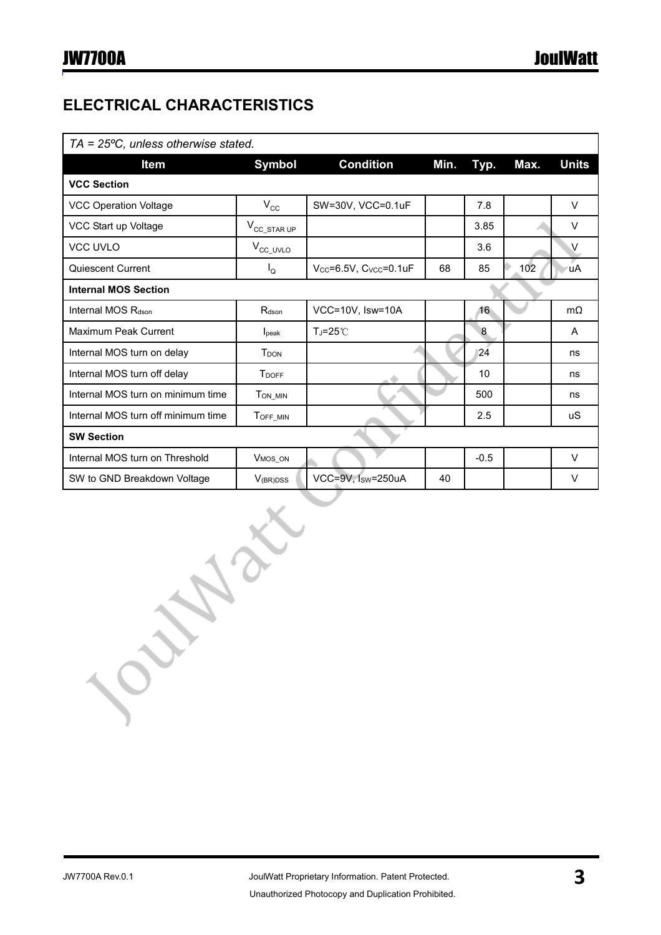## ELECTRICAL CHARACTERISTICS

| $TA = 25^{\circ}C$ , unless otherwise stated. |                          |                                     |      |                |      |              |
|-----------------------------------------------|--------------------------|-------------------------------------|------|----------------|------|--------------|
| <b>Item</b>                                   | <b>Symbol</b>            | <b>Condition</b>                    | Min. | Typ.           | Max. | <b>Units</b> |
| <b>VCC Section</b>                            |                          |                                     |      |                |      |              |
| <b>VCC Operation Voltage</b>                  | $V_{\rm CC}$             | SW=30V, VCC=0.1uF                   |      | 7.8            |      | V            |
| VCC Start up Voltage                          | $V_{\text{CC\_STAR UP}}$ |                                     |      | 3.85           |      | V            |
| <b>VCC UVLO</b>                               | $V_{\text{CC\_UVLO}}$    |                                     |      | 3.6            |      | V            |
| Quiescent Current                             | $I_{\mathsf{Q}}$         | $V_{CC} = 6.5V$ , $C_{VCC} = 0.1uF$ | 68   | 85             | 102  | <b>uA</b>    |
| <b>Internal MOS Section</b>                   |                          |                                     |      |                |      |              |
| Internal MOS R <sub>dson</sub>                | R <sub>dson</sub>        | VCC=10V, Isw=10A                    |      | 16             |      | $m\Omega$    |
| Maximum Peak Current                          | l <sub>peak</sub>        | TJ=25°C                             |      | $\overline{8}$ |      | A            |
| Internal MOS turn on delay                    | T <sub>DON</sub>         |                                     |      | 24             |      | ns           |
| Internal MOS turn off delay                   | <b>T</b> DOFF            |                                     |      | 10             |      | ns           |
| Internal MOS turn on minimum time             | T <sub>ON_MIN</sub>      |                                     |      | 500            |      | ns           |
| Internal MOS turn off minimum time            | TOFF_MIN                 |                                     |      | 2.5            |      | uS           |
| <b>SW Section</b>                             |                          |                                     |      |                |      |              |
| Internal MOS turn on Threshold                | V <sub>MOS_ON</sub>      |                                     |      | $-0.5$         |      | $\vee$       |
| SW to GND Breakdown Voltage                   | $V_{(BR)DSS}$            | VCC=9V. Isw=250uA                   | 40   |                |      | V            |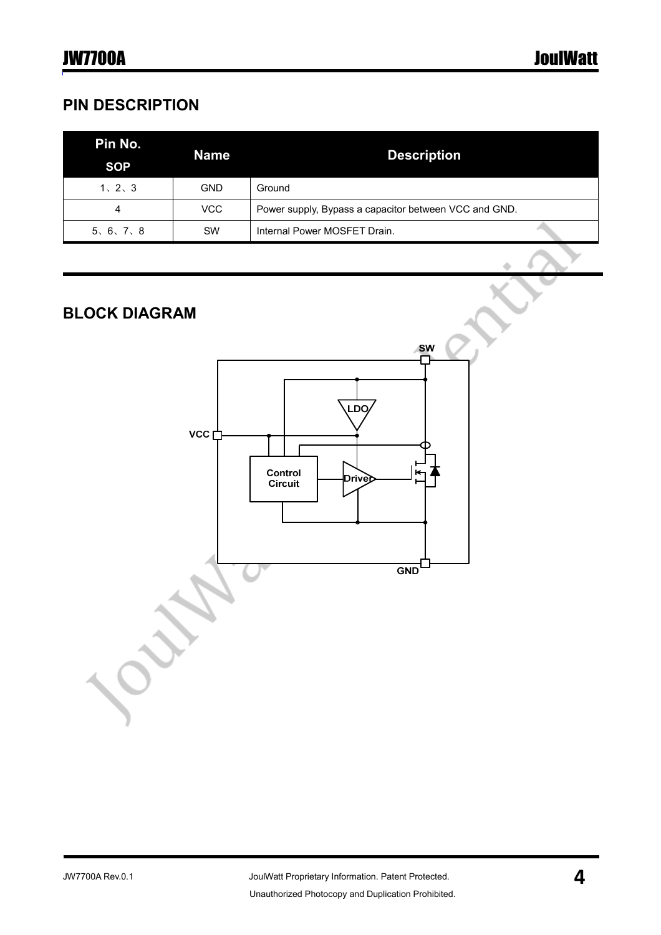## PIN DESCRIPTION

| Pin No.<br><b>SOP</b> | <b>Name</b> | <b>Description</b>                                    |  |
|-----------------------|-------------|-------------------------------------------------------|--|
| 1, 2, 3               | <b>GND</b>  | Ground                                                |  |
| 4                     | VCC         | Power supply, Bypass a capacitor between VCC and GND. |  |
| 5, 6, 7, 8            | <b>SW</b>   | Internal Power MOSFET Drain.                          |  |

## BLOCK DIAGRAM

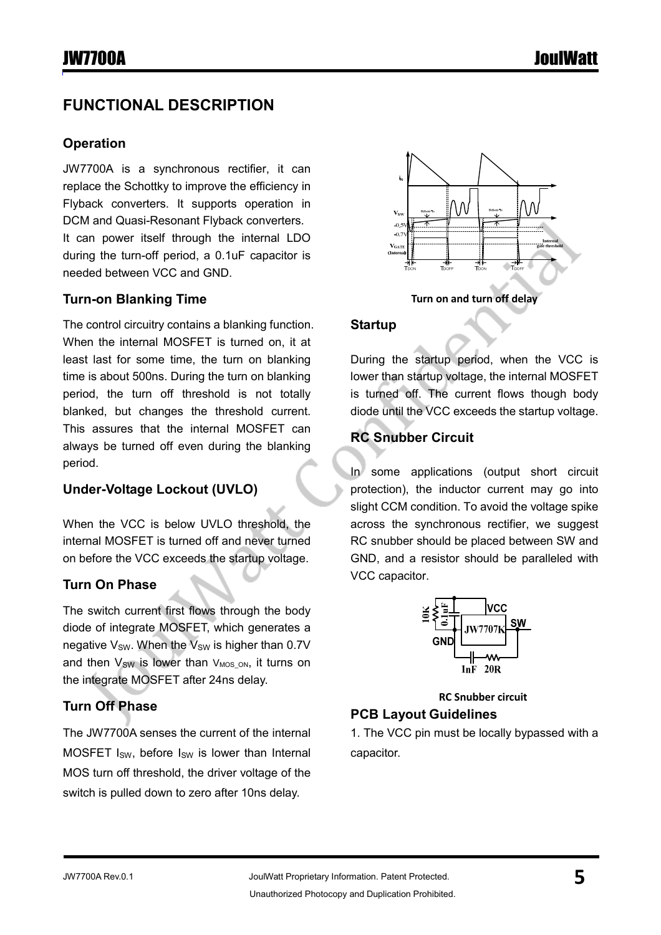## FUNCTIONAL DESCRIPTION

#### **Operation**

JW7700A is a synchronous rectifier, it can replace the Schottky to improve the efficiency in Flyback converters. It supports operation in DCM and Quasi-Resonant Flyback converters. It can power itself through the internal LDO during the turn-off period, a 0.1uF capacitor is needed between VCC and GND.

#### Turn-on Blanking Time

The control circuitry contains a blanking function. When the internal MOSFET is turned on, it at least last for some time, the turn on blanking time is about 500ns. During the turn on blanking period, the turn off threshold is not totally blanked, but changes the threshold current. This assures that the internal MOSFET can always be turned off even during the blanking period.

#### Under-Voltage Lockout (UVLO)

When the VCC is below UVLO threshold, the internal MOSFET is turned off and never turned on before the VCC exceeds the startup voltage.

#### Turn On Phase

The switch current first flows through the body diode of integrate MOSFET, which generates a negative  $V_{SW}$ . When the  $V_{SW}$  is higher than 0.7V and then  $V_{SW}$  is lower than  $V_{MOS}$ <sub>ON</sub>, it turns on the integrate MOSFET after 24ns delay.

#### Turn Off Phase

The JW7700A senses the current of the internal MOSFET I<sub>SW</sub>, before I<sub>SW</sub> is lower than Internal MOS turn off threshold, the driver voltage of the switch is pulled down to zero after 10ns delay.



Turn on and turn off delay

#### **Startup**

During the startup period, when the VCC is lower than startup voltage, the internal MOSFET is turned off. The current flows though body diode until the VCC exceeds the startup voltage.

#### RC Snubber Circuit

In some applications (output short circuit protection), the inductor current may go into slight CCM condition. To avoid the voltage spike across the synchronous rectifier, we suggest RC snubber should be placed between SW and GND, and a resistor should be paralleled with VCC capacitor.



RC Snubber circuit

#### PCB Layout Guidelines

1. The VCC pin must be locally bypassed with a capacitor.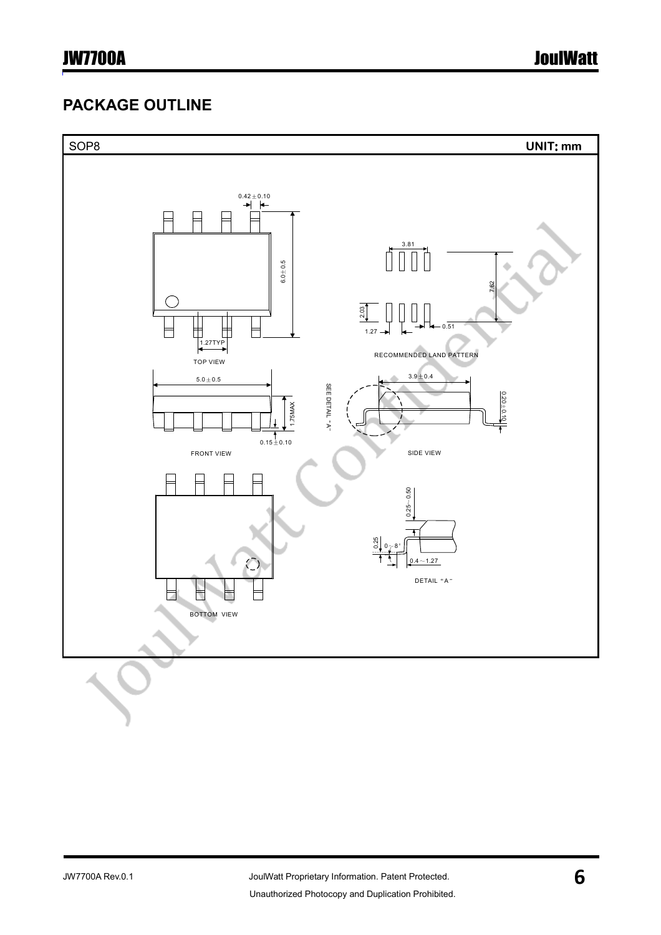## PACKAGE OUTLINE